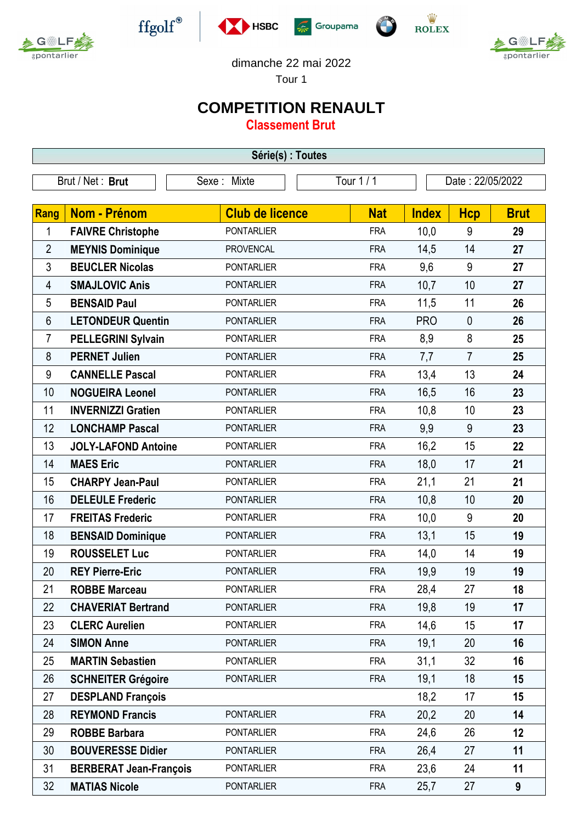



 $\operatorname{ffgolf}^{\circledast}$ 





gpontarlie

dimanche 22 mai 2022

Tour 1

## **COMPETITION RENAULT**

**Classement Brut**

| Série(s) : Toutes |                               |                        |            |                  |                |             |  |  |  |  |
|-------------------|-------------------------------|------------------------|------------|------------------|----------------|-------------|--|--|--|--|
| Brut / Net: Brut  |                               | Sexe: Mixte            | Tour 1 / 1 | Date: 22/05/2022 |                |             |  |  |  |  |
|                   |                               |                        |            |                  |                |             |  |  |  |  |
| <b>Rang</b>       | Nom - Prénom                  | <b>Club de licence</b> | <b>Nat</b> | <b>Index</b>     | <b>Hcp</b>     | <b>Brut</b> |  |  |  |  |
| 1                 | <b>FAIVRE Christophe</b>      | <b>PONTARLIER</b>      | <b>FRA</b> | 10,0             | 9              | 29          |  |  |  |  |
| $\overline{2}$    | <b>MEYNIS Dominique</b>       | <b>PROVENCAL</b>       | <b>FRA</b> | 14,5             | 14             | 27          |  |  |  |  |
| 3                 | <b>BEUCLER Nicolas</b>        | <b>PONTARLIER</b>      | <b>FRA</b> | 9,6              | 9              | 27          |  |  |  |  |
| 4                 | <b>SMAJLOVIC Anis</b>         | <b>PONTARLIER</b>      | <b>FRA</b> | 10,7             | 10             | 27          |  |  |  |  |
| 5                 | <b>BENSAID Paul</b>           | <b>PONTARLIER</b>      | <b>FRA</b> | 11,5             | 11             | 26          |  |  |  |  |
| $6\phantom{.}6$   | <b>LETONDEUR Quentin</b>      | <b>PONTARLIER</b>      | <b>FRA</b> | <b>PRO</b>       | $\mathbf 0$    | 26          |  |  |  |  |
| 7                 | <b>PELLEGRINI Sylvain</b>     | <b>PONTARLIER</b>      | <b>FRA</b> | 8,9              | 8              | 25          |  |  |  |  |
| 8                 | <b>PERNET Julien</b>          | <b>PONTARLIER</b>      | <b>FRA</b> | 7,7              | $\overline{7}$ | 25          |  |  |  |  |
| 9                 | <b>CANNELLE Pascal</b>        | <b>PONTARLIER</b>      | <b>FRA</b> | 13,4             | 13             | 24          |  |  |  |  |
| 10                | <b>NOGUEIRA Leonel</b>        | <b>PONTARLIER</b>      | <b>FRA</b> | 16,5             | 16             | 23          |  |  |  |  |
| 11                | <b>INVERNIZZI Gratien</b>     | <b>PONTARLIER</b>      | <b>FRA</b> | 10,8             | 10             | 23          |  |  |  |  |
| 12                | <b>LONCHAMP Pascal</b>        | <b>PONTARLIER</b>      | <b>FRA</b> | 9,9              | 9              | 23          |  |  |  |  |
| 13                | <b>JOLY-LAFOND Antoine</b>    | <b>PONTARLIER</b>      | <b>FRA</b> | 16,2             | 15             | 22          |  |  |  |  |
| 14                | <b>MAES Eric</b>              | <b>PONTARLIER</b>      | <b>FRA</b> | 18,0             | 17             | 21          |  |  |  |  |
| 15                | <b>CHARPY Jean-Paul</b>       | <b>PONTARLIER</b>      | <b>FRA</b> | 21,1             | 21             | 21          |  |  |  |  |
| 16                | <b>DELEULE Frederic</b>       | <b>PONTARLIER</b>      | <b>FRA</b> | 10,8             | 10             | 20          |  |  |  |  |
| 17                | <b>FREITAS Frederic</b>       | <b>PONTARLIER</b>      | <b>FRA</b> | 10,0             | 9              | 20          |  |  |  |  |
| 18                | <b>BENSAID Dominique</b>      | <b>PONTARLIER</b>      | <b>FRA</b> | 13,1             | 15             | 19          |  |  |  |  |
| 19                | <b>ROUSSELET Luc</b>          | <b>PONTARLIER</b>      | <b>FRA</b> | 14,0             | 14             | 19          |  |  |  |  |
| 20                | <b>REY Pierre-Eric</b>        | <b>PONTARLIER</b>      | <b>FRA</b> | 19,9             | 19             | 19          |  |  |  |  |
| 21                | <b>ROBBE Marceau</b>          | <b>PONTARLIER</b>      | <b>FRA</b> | 28,4             | 27             | 18          |  |  |  |  |
| 22                | <b>CHAVERIAT Bertrand</b>     | <b>PONTARLIER</b>      | <b>FRA</b> | 19,8             | 19             | 17          |  |  |  |  |
| 23                | <b>CLERC Aurelien</b>         | <b>PONTARLIER</b>      | <b>FRA</b> | 14,6             | 15             | 17          |  |  |  |  |
| 24                | <b>SIMON Anne</b>             | <b>PONTARLIER</b>      | <b>FRA</b> | 19,1             | 20             | 16          |  |  |  |  |
| 25                | <b>MARTIN Sebastien</b>       | <b>PONTARLIER</b>      | <b>FRA</b> | 31,1             | 32             | 16          |  |  |  |  |
| 26                | <b>SCHNEITER Grégoire</b>     | <b>PONTARLIER</b>      | <b>FRA</b> | 19,1             | 18             | 15          |  |  |  |  |
| 27                | <b>DESPLAND François</b>      |                        |            | 18,2             | 17             | 15          |  |  |  |  |
| 28                | <b>REYMOND Francis</b>        | <b>PONTARLIER</b>      | <b>FRA</b> | 20,2             | 20             | 14          |  |  |  |  |
| 29                | <b>ROBBE Barbara</b>          | <b>PONTARLIER</b>      | <b>FRA</b> | 24,6             | 26             | 12          |  |  |  |  |
| 30                | <b>BOUVERESSE Didier</b>      | <b>PONTARLIER</b>      | <b>FRA</b> | 26,4             | 27             | 11          |  |  |  |  |
| 31                | <b>BERBERAT Jean-François</b> | <b>PONTARLIER</b>      | <b>FRA</b> | 23,6             | 24             | 11          |  |  |  |  |
| 32                | <b>MATIAS Nicole</b>          | <b>PONTARLIER</b>      | <b>FRA</b> | 25,7             | 27             | 9           |  |  |  |  |